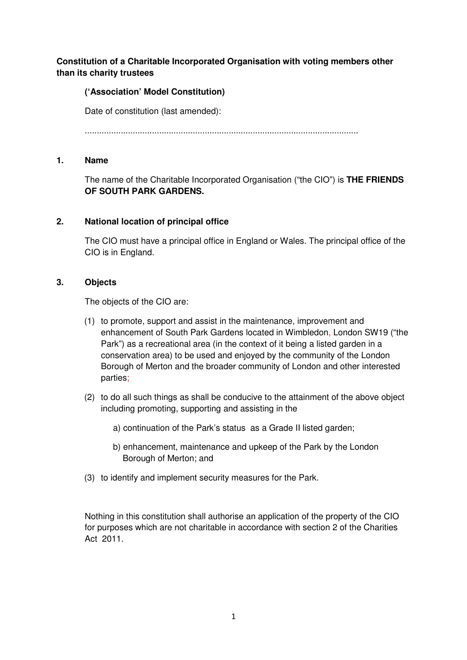# **Constitution of a Charitable Incorporated Organisation with voting members other than its charity trustees**

# **('Association' Model Constitution)**

Date of constitution (last amended):

..................................................................................................................

### **1. Name**

 The name of the Charitable Incorporated Organisation ("the CIO") is **THE FRIENDS OF SOUTH PARK GARDENS.** 

### **2. National location of principal office**

The CIO must have a principal office in England or Wales. The principal office of the CIO is in England.

### **3. Objects**

The objects of the CIO are:

- (1) to promote, support and assist in the maintenance, improvement and enhancement of South Park Gardens located in Wimbledon, London SW19 ("the Park") as a recreational area (in the context of it being a listed garden in a conservation area) to be used and enjoyed by the community of the London Borough of Merton and the broader community of London and other interested parties;
- (2) to do all such things as shall be conducive to the attainment of the above object including promoting, supporting and assisting in the
	- a) continuation of the Park's status as a Grade II listed garden;
	- b) enhancement, maintenance and upkeep of the Park by the London Borough of Merton; and
- (3) to identify and implement security measures for the Park.

Nothing in this constitution shall authorise an application of the property of the CIO for purposes which are not charitable in accordance with section 2 of the Charities Act 2011.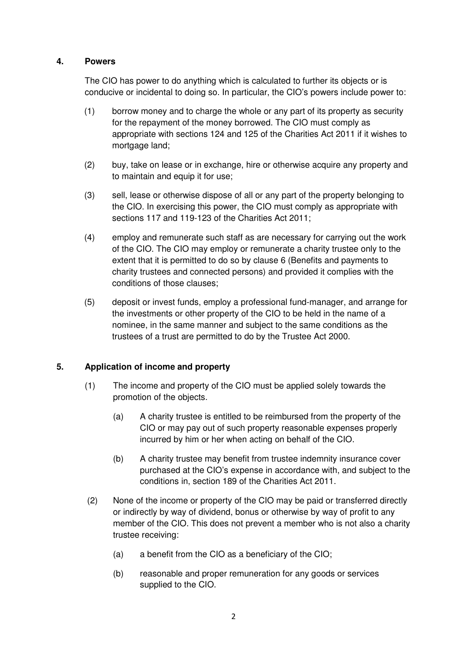### **4. Powers**

The CIO has power to do anything which is calculated to further its objects or is conducive or incidental to doing so. In particular, the CIO's powers include power to:

- (1) borrow money and to charge the whole or any part of its property as security for the repayment of the money borrowed. The CIO must comply as appropriate with sections 124 and 125 of the Charities Act 2011 if it wishes to mortgage land;
- (2) buy, take on lease or in exchange, hire or otherwise acquire any property and to maintain and equip it for use;
- (3) sell, lease or otherwise dispose of all or any part of the property belonging to the CIO. In exercising this power, the CIO must comply as appropriate with sections 117 and 119-123 of the Charities Act 2011;
- (4) employ and remunerate such staff as are necessary for carrying out the work of the CIO. The CIO may employ or remunerate a charity trustee only to the extent that it is permitted to do so by clause 6 (Benefits and payments to charity trustees and connected persons) and provided it complies with the conditions of those clauses;
- (5) deposit or invest funds, employ a professional fund-manager, and arrange for the investments or other property of the CIO to be held in the name of a nominee, in the same manner and subject to the same conditions as the trustees of a trust are permitted to do by the Trustee Act 2000.

## **5. Application of income and property**

- (1) The income and property of the CIO must be applied solely towards the promotion of the objects.
	- (a) A charity trustee is entitled to be reimbursed from the property of the CIO or may pay out of such property reasonable expenses properly incurred by him or her when acting on behalf of the CIO.
	- (b) A charity trustee may benefit from trustee indemnity insurance cover purchased at the CIO's expense in accordance with, and subject to the conditions in, section 189 of the Charities Act 2011.
- (2) None of the income or property of the CIO may be paid or transferred directly or indirectly by way of dividend, bonus or otherwise by way of profit to any member of the CIO. This does not prevent a member who is not also a charity trustee receiving:
	- (a) a benefit from the CIO as a beneficiary of the CIO;
	- (b) reasonable and proper remuneration for any goods or services supplied to the CIO.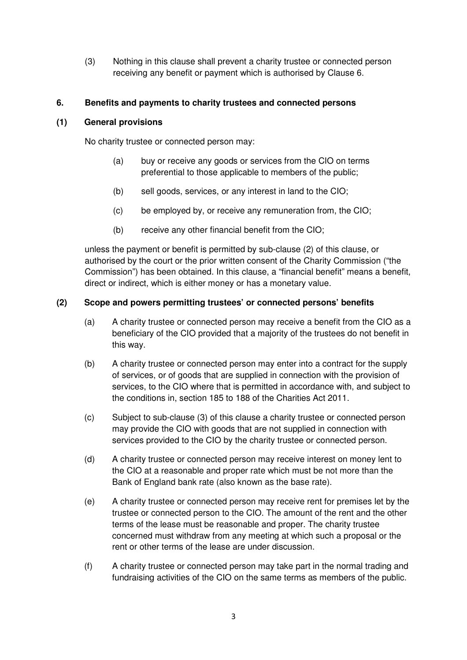(3) Nothing in this clause shall prevent a charity trustee or connected person receiving any benefit or payment which is authorised by Clause 6.

## **6. Benefits and payments to charity trustees and connected persons**

#### **(1) General provisions**

No charity trustee or connected person may:

- (a) buy or receive any goods or services from the CIO on terms preferential to those applicable to members of the public;
- (b) sell goods, services, or any interest in land to the CIO;
- (c) be employed by, or receive any remuneration from, the CIO;
- (b) receive any other financial benefit from the CIO;

unless the payment or benefit is permitted by sub-clause (2) of this clause, or authorised by the court or the prior written consent of the Charity Commission ("the Commission") has been obtained. In this clause, a "financial benefit" means a benefit, direct or indirect, which is either money or has a monetary value.

### **(2) Scope and powers permitting trustees' or connected persons' benefits**

- (a) A charity trustee or connected person may receive a benefit from the CIO as a beneficiary of the CIO provided that a majority of the trustees do not benefit in this way.
- (b) A charity trustee or connected person may enter into a contract for the supply of services, or of goods that are supplied in connection with the provision of services, to the CIO where that is permitted in accordance with, and subject to the conditions in, section 185 to 188 of the Charities Act 2011.
- (c) Subject to sub-clause (3) of this clause a charity trustee or connected person may provide the CIO with goods that are not supplied in connection with services provided to the CIO by the charity trustee or connected person.
- (d) A charity trustee or connected person may receive interest on money lent to the CIO at a reasonable and proper rate which must be not more than the Bank of England bank rate (also known as the base rate).
- (e) A charity trustee or connected person may receive rent for premises let by the trustee or connected person to the CIO. The amount of the rent and the other terms of the lease must be reasonable and proper. The charity trustee concerned must withdraw from any meeting at which such a proposal or the rent or other terms of the lease are under discussion.
- (f) A charity trustee or connected person may take part in the normal trading and fundraising activities of the CIO on the same terms as members of the public.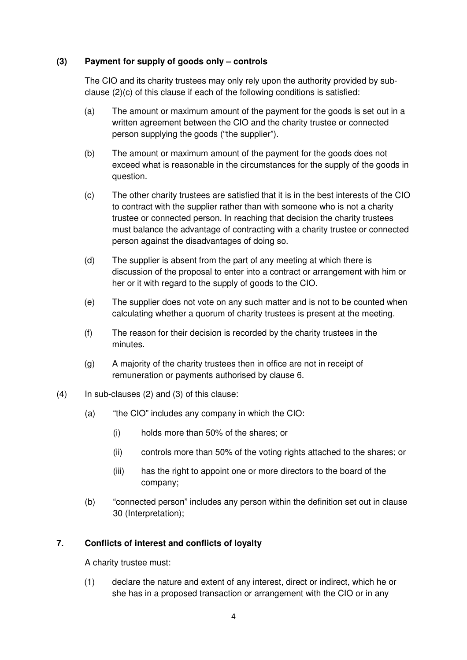## **(3) Payment for supply of goods only – controls**

 The CIO and its charity trustees may only rely upon the authority provided by subclause (2)(c) of this clause if each of the following conditions is satisfied:

- (a) The amount or maximum amount of the payment for the goods is set out in a written agreement between the CIO and the charity trustee or connected person supplying the goods ("the supplier").
- (b) The amount or maximum amount of the payment for the goods does not exceed what is reasonable in the circumstances for the supply of the goods in question.
- (c) The other charity trustees are satisfied that it is in the best interests of the CIO to contract with the supplier rather than with someone who is not a charity trustee or connected person. In reaching that decision the charity trustees must balance the advantage of contracting with a charity trustee or connected person against the disadvantages of doing so.
- (d) The supplier is absent from the part of any meeting at which there is discussion of the proposal to enter into a contract or arrangement with him or her or it with regard to the supply of goods to the CIO.
- (e) The supplier does not vote on any such matter and is not to be counted when calculating whether a quorum of charity trustees is present at the meeting.
- (f) The reason for their decision is recorded by the charity trustees in the minutes.
- (g) A majority of the charity trustees then in office are not in receipt of remuneration or payments authorised by clause 6.
- (4) In sub-clauses (2) and (3) of this clause:
	- (a) "the CIO" includes any company in which the CIO:
		- (i) holds more than 50% of the shares; or
		- (ii) controls more than 50% of the voting rights attached to the shares; or
		- (iii) has the right to appoint one or more directors to the board of the company;
	- (b) "connected person" includes any person within the definition set out in clause 30 (Interpretation);

## **7. Conflicts of interest and conflicts of loyalty**

A charity trustee must:

(1) declare the nature and extent of any interest, direct or indirect, which he or she has in a proposed transaction or arrangement with the CIO or in any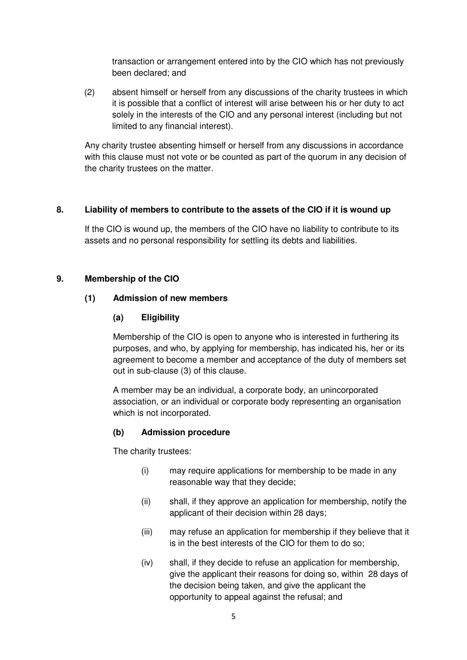transaction or arrangement entered into by the CIO which has not previously been declared; and

(2) absent himself or herself from any discussions of the charity trustees in which it is possible that a conflict of interest will arise between his or her duty to act solely in the interests of the CIO and any personal interest (including but not limited to any financial interest).

Any charity trustee absenting himself or herself from any discussions in accordance with this clause must not vote or be counted as part of the quorum in any decision of the charity trustees on the matter.

### **8. Liability of members to contribute to the assets of the CIO if it is wound up**

 If the CIO is wound up, the members of the CIO have no liability to contribute to its assets and no personal responsibility for settling its debts and liabilities.

### **9. Membership of the CIO**

### **(1) Admission of new members**

### **(a) Eligibility**

Membership of the CIO is open to anyone who is interested in furthering its purposes, and who, by applying for membership, has indicated his, her or its agreement to become a member and acceptance of the duty of members set out in sub-clause (3) of this clause.

A member may be an individual, a corporate body, an unincorporated association, or an individual or corporate body representing an organisation which is not incorporated.

## **(b) Admission procedure**

The charity trustees:

- (i) may require applications for membership to be made in any reasonable way that they decide;
- (ii) shall, if they approve an application for membership, notify the applicant of their decision within 28 days;
- (iii) may refuse an application for membership if they believe that it is in the best interests of the CIO for them to do so;
- (iv) shall, if they decide to refuse an application for membership, give the applicant their reasons for doing so, within 28 days of the decision being taken, and give the applicant the opportunity to appeal against the refusal; and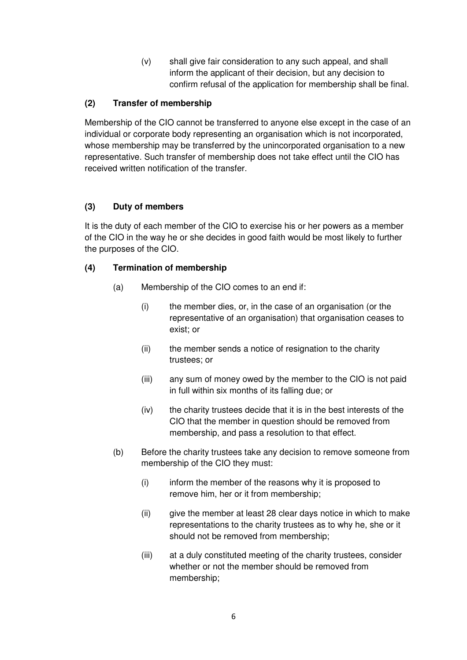(v) shall give fair consideration to any such appeal, and shall inform the applicant of their decision, but any decision to confirm refusal of the application for membership shall be final.

# **(2) Transfer of membership**

Membership of the CIO cannot be transferred to anyone else except in the case of an individual or corporate body representing an organisation which is not incorporated, whose membership may be transferred by the unincorporated organisation to a new representative. Such transfer of membership does not take effect until the CIO has received written notification of the transfer.

## **(3) Duty of members**

It is the duty of each member of the CIO to exercise his or her powers as a member of the CIO in the way he or she decides in good faith would be most likely to further the purposes of the CIO.

### **(4) Termination of membership**

- (a) Membership of the CIO comes to an end if:
	- (i) the member dies, or, in the case of an organisation (or the representative of an organisation) that organisation ceases to exist; or
	- (ii) the member sends a notice of resignation to the charity trustees; or
	- (iii) any sum of money owed by the member to the CIO is not paid in full within six months of its falling due; or
	- (iv) the charity trustees decide that it is in the best interests of the CIO that the member in question should be removed from membership, and pass a resolution to that effect.
- (b) Before the charity trustees take any decision to remove someone from membership of the CIO they must:
	- (i) inform the member of the reasons why it is proposed to remove him, her or it from membership;
	- (ii) give the member at least 28 clear days notice in which to make representations to the charity trustees as to why he, she or it should not be removed from membership;
	- (iii) at a duly constituted meeting of the charity trustees, consider whether or not the member should be removed from membership;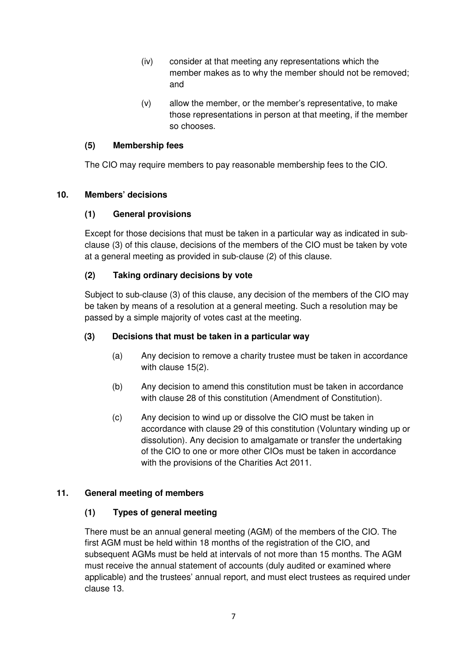- (iv) consider at that meeting any representations which the member makes as to why the member should not be removed; and
- (v) allow the member, or the member's representative, to make those representations in person at that meeting, if the member so chooses.

#### **(5) Membership fees**

The CIO may require members to pay reasonable membership fees to the CIO.

### **10. Members' decisions**

### **(1) General provisions**

Except for those decisions that must be taken in a particular way as indicated in subclause (3) of this clause, decisions of the members of the CIO must be taken by vote at a general meeting as provided in sub-clause (2) of this clause.

### **(2) Taking ordinary decisions by vote**

Subject to sub-clause (3) of this clause, any decision of the members of the CIO may be taken by means of a resolution at a general meeting. Such a resolution may be passed by a simple majority of votes cast at the meeting.

#### **(3) Decisions that must be taken in a particular way**

- (a) Any decision to remove a charity trustee must be taken in accordance with clause 15(2).
- (b) Any decision to amend this constitution must be taken in accordance with clause 28 of this constitution (Amendment of Constitution).
- (c) Any decision to wind up or dissolve the CIO must be taken in accordance with clause 29 of this constitution (Voluntary winding up or dissolution). Any decision to amalgamate or transfer the undertaking of the CIO to one or more other CIOs must be taken in accordance with the provisions of the Charities Act 2011.

#### **11. General meeting of members**

## **(1) Types of general meeting**

There must be an annual general meeting (AGM) of the members of the CIO. The first AGM must be held within 18 months of the registration of the CIO, and subsequent AGMs must be held at intervals of not more than 15 months. The AGM must receive the annual statement of accounts (duly audited or examined where applicable) and the trustees' annual report, and must elect trustees as required under clause 13.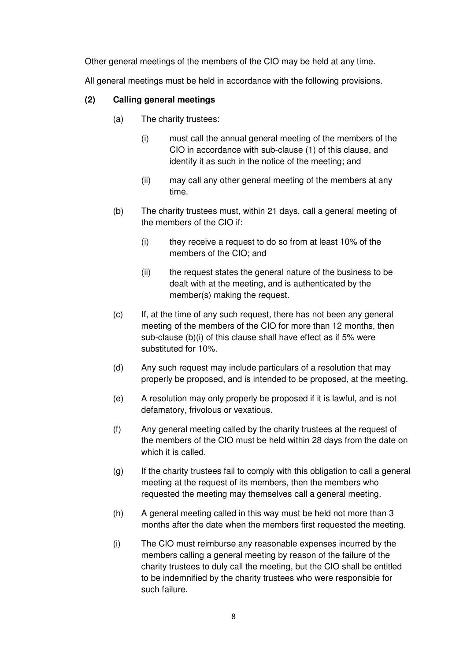Other general meetings of the members of the CIO may be held at any time.

All general meetings must be held in accordance with the following provisions.

## **(2) Calling general meetings**

- (a) The charity trustees:
	- (i) must call the annual general meeting of the members of the CIO in accordance with sub-clause (1) of this clause, and identify it as such in the notice of the meeting; and
	- (ii) may call any other general meeting of the members at any time.
- (b) The charity trustees must, within 21 days, call a general meeting of the members of the CIO if:
	- (i) they receive a request to do so from at least 10% of the members of the CIO; and
	- (ii) the request states the general nature of the business to be dealt with at the meeting, and is authenticated by the member(s) making the request.
- (c) If, at the time of any such request, there has not been any general meeting of the members of the CIO for more than 12 months, then sub-clause (b)(i) of this clause shall have effect as if 5% were substituted for 10%.
- (d) Any such request may include particulars of a resolution that may properly be proposed, and is intended to be proposed, at the meeting.
- (e) A resolution may only properly be proposed if it is lawful, and is not defamatory, frivolous or vexatious.
- (f) Any general meeting called by the charity trustees at the request of the members of the CIO must be held within 28 days from the date on which it is called.
- (g) If the charity trustees fail to comply with this obligation to call a general meeting at the request of its members, then the members who requested the meeting may themselves call a general meeting.
- (h) A general meeting called in this way must be held not more than 3 months after the date when the members first requested the meeting.
- (i) The CIO must reimburse any reasonable expenses incurred by the members calling a general meeting by reason of the failure of the charity trustees to duly call the meeting, but the CIO shall be entitled to be indemnified by the charity trustees who were responsible for such failure.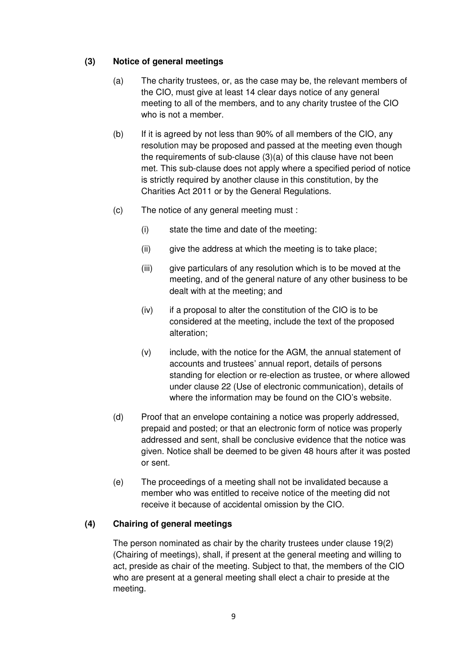# **(3) Notice of general meetings**

- (a) The charity trustees, or, as the case may be, the relevant members of the CIO, must give at least 14 clear days notice of any general meeting to all of the members, and to any charity trustee of the CIO who is not a member.
- (b) If it is agreed by not less than 90% of all members of the CIO, any resolution may be proposed and passed at the meeting even though the requirements of sub-clause (3)(a) of this clause have not been met. This sub-clause does not apply where a specified period of notice is strictly required by another clause in this constitution, by the Charities Act 2011 or by the General Regulations.
- (c) The notice of any general meeting must :
	- (i) state the time and date of the meeting:
	- (ii) give the address at which the meeting is to take place;
	- (iii) give particulars of any resolution which is to be moved at the meeting, and of the general nature of any other business to be dealt with at the meeting; and
	- $(iv)$  if a proposal to alter the constitution of the CIO is to be considered at the meeting, include the text of the proposed alteration;
	- (v) include, with the notice for the AGM, the annual statement of accounts and trustees' annual report, details of persons standing for election or re-election as trustee, or where allowed under clause 22 (Use of electronic communication), details of where the information may be found on the CIO's website.
- (d) Proof that an envelope containing a notice was properly addressed, prepaid and posted; or that an electronic form of notice was properly addressed and sent, shall be conclusive evidence that the notice was given. Notice shall be deemed to be given 48 hours after it was posted or sent.
- (e) The proceedings of a meeting shall not be invalidated because a member who was entitled to receive notice of the meeting did not receive it because of accidental omission by the CIO.

#### **(4) Chairing of general meetings**

 The person nominated as chair by the charity trustees under clause 19(2) (Chairing of meetings), shall, if present at the general meeting and willing to act, preside as chair of the meeting. Subject to that, the members of the CIO who are present at a general meeting shall elect a chair to preside at the meeting.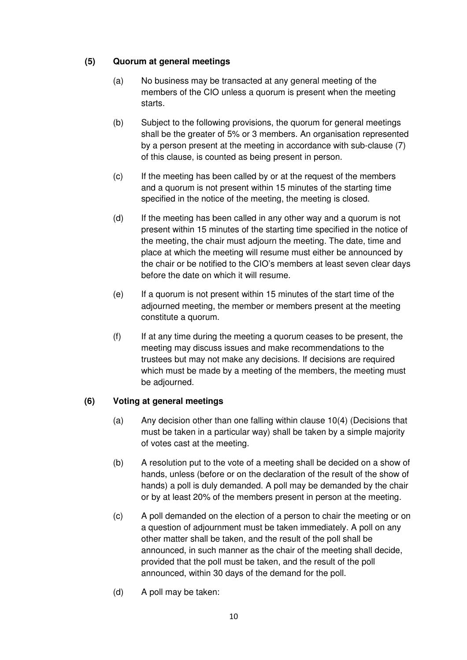# **(5) Quorum at general meetings**

- (a) No business may be transacted at any general meeting of the members of the CIO unless a quorum is present when the meeting starts.
- (b) Subject to the following provisions, the quorum for general meetings shall be the greater of 5% or 3 members. An organisation represented by a person present at the meeting in accordance with sub-clause (7) of this clause, is counted as being present in person.
- (c) If the meeting has been called by or at the request of the members and a quorum is not present within 15 minutes of the starting time specified in the notice of the meeting, the meeting is closed.
- (d) If the meeting has been called in any other way and a quorum is not present within 15 minutes of the starting time specified in the notice of the meeting, the chair must adjourn the meeting. The date, time and place at which the meeting will resume must either be announced by the chair or be notified to the CIO's members at least seven clear days before the date on which it will resume.
- (e) If a quorum is not present within 15 minutes of the start time of the adjourned meeting, the member or members present at the meeting constitute a quorum.
- (f) If at any time during the meeting a quorum ceases to be present, the meeting may discuss issues and make recommendations to the trustees but may not make any decisions. If decisions are required which must be made by a meeting of the members, the meeting must be adjourned.

# **(6) Voting at general meetings**

- (a) Any decision other than one falling within clause 10(4) (Decisions that must be taken in a particular way) shall be taken by a simple majority of votes cast at the meeting.
- (b) A resolution put to the vote of a meeting shall be decided on a show of hands, unless (before or on the declaration of the result of the show of hands) a poll is duly demanded. A poll may be demanded by the chair or by at least 20% of the members present in person at the meeting.
- (c) A poll demanded on the election of a person to chair the meeting or on a question of adjournment must be taken immediately. A poll on any other matter shall be taken, and the result of the poll shall be announced, in such manner as the chair of the meeting shall decide, provided that the poll must be taken, and the result of the poll announced, within 30 days of the demand for the poll.
- (d) A poll may be taken: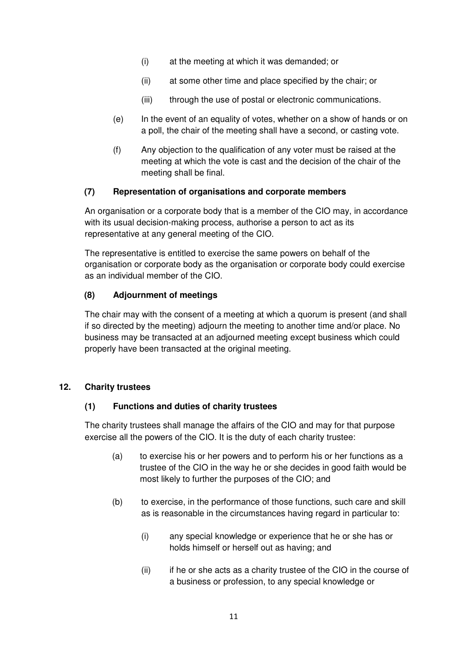- (i) at the meeting at which it was demanded; or
- (ii) at some other time and place specified by the chair; or
- (iii) through the use of postal or electronic communications.
- (e) In the event of an equality of votes, whether on a show of hands or on a poll, the chair of the meeting shall have a second, or casting vote.
- (f) Any objection to the qualification of any voter must be raised at the meeting at which the vote is cast and the decision of the chair of the meeting shall be final.

### **(7) Representation of organisations and corporate members**

An organisation or a corporate body that is a member of the CIO may, in accordance with its usual decision-making process, authorise a person to act as its representative at any general meeting of the CIO.

The representative is entitled to exercise the same powers on behalf of the organisation or corporate body as the organisation or corporate body could exercise as an individual member of the CIO.

# **(8) Adjournment of meetings**

The chair may with the consent of a meeting at which a quorum is present (and shall if so directed by the meeting) adjourn the meeting to another time and/or place. No business may be transacted at an adjourned meeting except business which could properly have been transacted at the original meeting.

## **12. Charity trustees**

## **(1) Functions and duties of charity trustees**

The charity trustees shall manage the affairs of the CIO and may for that purpose exercise all the powers of the CIO. It is the duty of each charity trustee:

- (a) to exercise his or her powers and to perform his or her functions as a trustee of the CIO in the way he or she decides in good faith would be most likely to further the purposes of the CIO; and
- (b) to exercise, in the performance of those functions, such care and skill as is reasonable in the circumstances having regard in particular to:
	- (i) any special knowledge or experience that he or she has or holds himself or herself out as having; and
	- (ii) if he or she acts as a charity trustee of the CIO in the course of a business or profession, to any special knowledge or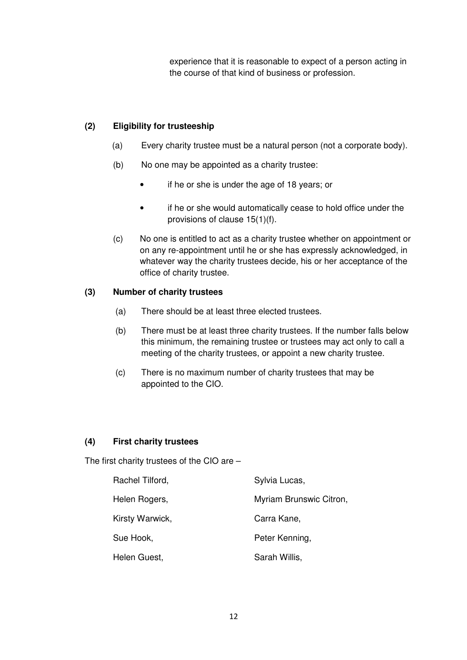experience that it is reasonable to expect of a person acting in the course of that kind of business or profession.

# **(2) Eligibility for trusteeship**

- (a) Every charity trustee must be a natural person (not a corporate body).
- (b) No one may be appointed as a charity trustee:
	- if he or she is under the age of 18 years; or
	- if he or she would automatically cease to hold office under the provisions of clause 15(1)(f).
- (c) No one is entitled to act as a charity trustee whether on appointment or on any re-appointment until he or she has expressly acknowledged, in whatever way the charity trustees decide, his or her acceptance of the office of charity trustee.

### **(3) Number of charity trustees**

- (a) There should be at least three elected trustees.
- (b) There must be at least three charity trustees. If the number falls below this minimum, the remaining trustee or trustees may act only to call a meeting of the charity trustees, or appoint a new charity trustee.
- (c) There is no maximum number of charity trustees that may be appointed to the CIO.

## **(4) First charity trustees**

The first charity trustees of the CIO are –

| Rachel Tilford, | Sylvia Lucas,           |
|-----------------|-------------------------|
| Helen Rogers,   | Myriam Brunswic Citron, |
| Kirsty Warwick, | Carra Kane,             |
| Sue Hook,       | Peter Kenning,          |
| Helen Guest,    | Sarah Willis,           |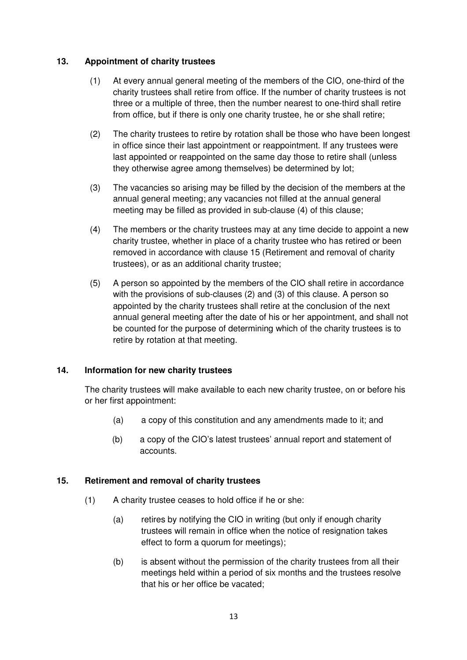### **13. Appointment of charity trustees**

- (1) At every annual general meeting of the members of the CIO, one-third of the charity trustees shall retire from office. If the number of charity trustees is not three or a multiple of three, then the number nearest to one-third shall retire from office, but if there is only one charity trustee, he or she shall retire;
- (2) The charity trustees to retire by rotation shall be those who have been longest in office since their last appointment or reappointment. If any trustees were last appointed or reappointed on the same day those to retire shall (unless they otherwise agree among themselves) be determined by lot;
- (3) The vacancies so arising may be filled by the decision of the members at the annual general meeting; any vacancies not filled at the annual general meeting may be filled as provided in sub-clause (4) of this clause;
- (4) The members or the charity trustees may at any time decide to appoint a new charity trustee, whether in place of a charity trustee who has retired or been removed in accordance with clause 15 (Retirement and removal of charity trustees), or as an additional charity trustee;
- (5) A person so appointed by the members of the CIO shall retire in accordance with the provisions of sub-clauses (2) and (3) of this clause. A person so appointed by the charity trustees shall retire at the conclusion of the next annual general meeting after the date of his or her appointment, and shall not be counted for the purpose of determining which of the charity trustees is to retire by rotation at that meeting.

#### **14. Information for new charity trustees**

The charity trustees will make available to each new charity trustee, on or before his or her first appointment:

- (a) a copy of this constitution and any amendments made to it; and
- (b) a copy of the CIO's latest trustees' annual report and statement of accounts.

#### **15. Retirement and removal of charity trustees**

- (1) A charity trustee ceases to hold office if he or she:
	- (a) retires by notifying the CIO in writing (but only if enough charity trustees will remain in office when the notice of resignation takes effect to form a quorum for meetings);
	- (b) is absent without the permission of the charity trustees from all their meetings held within a period of six months and the trustees resolve that his or her office be vacated;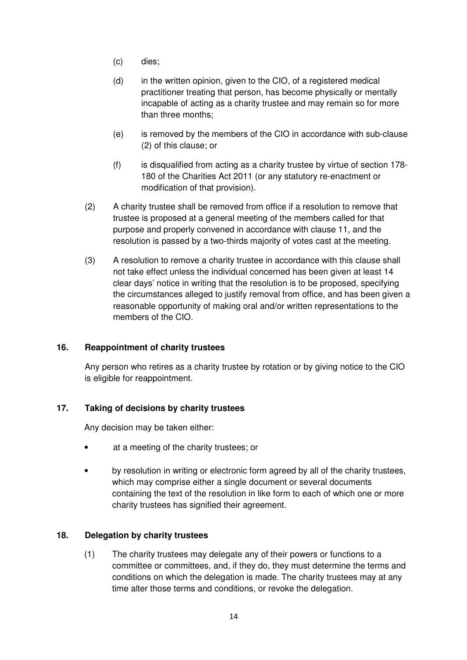- (c) dies;
- (d) in the written opinion, given to the CIO, of a registered medical practitioner treating that person, has become physically or mentally incapable of acting as a charity trustee and may remain so for more than three months;
- (e) is removed by the members of the CIO in accordance with sub-clause (2) of this clause; or
- (f) is disqualified from acting as a charity trustee by virtue of section 178- 180 of the Charities Act 2011 (or any statutory re-enactment or modification of that provision).
- (2) A charity trustee shall be removed from office if a resolution to remove that trustee is proposed at a general meeting of the members called for that purpose and properly convened in accordance with clause 11, and the resolution is passed by a two-thirds majority of votes cast at the meeting.
- (3) A resolution to remove a charity trustee in accordance with this clause shall not take effect unless the individual concerned has been given at least 14 clear days' notice in writing that the resolution is to be proposed, specifying the circumstances alleged to justify removal from office, and has been given a reasonable opportunity of making oral and/or written representations to the members of the CIO.

## **16. Reappointment of charity trustees**

Any person who retires as a charity trustee by rotation or by giving notice to the CIO is eligible for reappointment.

## **17. Taking of decisions by charity trustees**

Any decision may be taken either:

- at a meeting of the charity trustees; or
- by resolution in writing or electronic form agreed by all of the charity trustees, which may comprise either a single document or several documents containing the text of the resolution in like form to each of which one or more charity trustees has signified their agreement.

#### **18. Delegation by charity trustees**

(1) The charity trustees may delegate any of their powers or functions to a committee or committees, and, if they do, they must determine the terms and conditions on which the delegation is made. The charity trustees may at any time alter those terms and conditions, or revoke the delegation.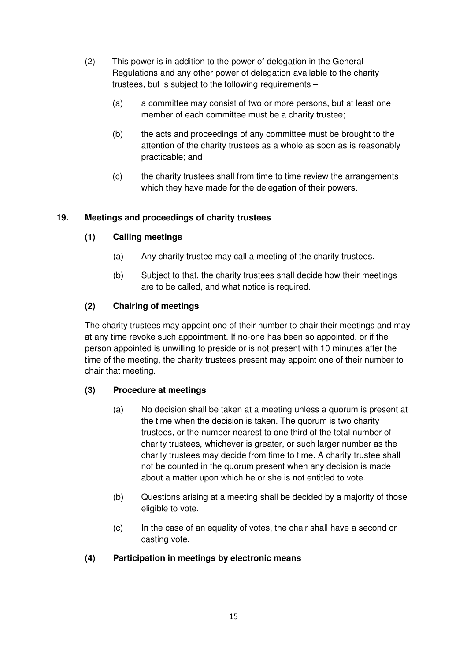- (2) This power is in addition to the power of delegation in the General Regulations and any other power of delegation available to the charity trustees, but is subject to the following requirements –
	- (a) a committee may consist of two or more persons, but at least one member of each committee must be a charity trustee;
	- (b) the acts and proceedings of any committee must be brought to the attention of the charity trustees as a whole as soon as is reasonably practicable; and
	- (c) the charity trustees shall from time to time review the arrangements which they have made for the delegation of their powers.

# **19. Meetings and proceedings of charity trustees**

# **(1) Calling meetings**

- (a) Any charity trustee may call a meeting of the charity trustees.
- (b) Subject to that, the charity trustees shall decide how their meetings are to be called, and what notice is required.

# **(2) Chairing of meetings**

The charity trustees may appoint one of their number to chair their meetings and may at any time revoke such appointment. If no-one has been so appointed, or if the person appointed is unwilling to preside or is not present with 10 minutes after the time of the meeting, the charity trustees present may appoint one of their number to chair that meeting.

## **(3) Procedure at meetings**

- (a) No decision shall be taken at a meeting unless a quorum is present at the time when the decision is taken. The quorum is two charity trustees, or the number nearest to one third of the total number of charity trustees, whichever is greater, or such larger number as the charity trustees may decide from time to time. A charity trustee shall not be counted in the quorum present when any decision is made about a matter upon which he or she is not entitled to vote.
- (b) Questions arising at a meeting shall be decided by a majority of those eligible to vote.
- (c) In the case of an equality of votes, the chair shall have a second or casting vote.

## **(4) Participation in meetings by electronic means**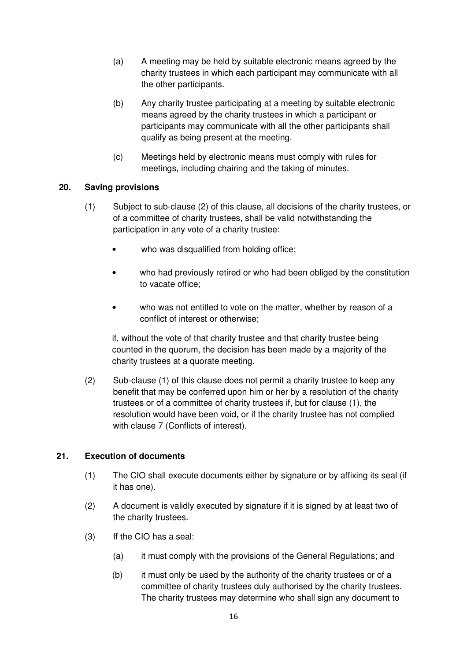- (a) A meeting may be held by suitable electronic means agreed by the charity trustees in which each participant may communicate with all the other participants.
- (b) Any charity trustee participating at a meeting by suitable electronic means agreed by the charity trustees in which a participant or participants may communicate with all the other participants shall qualify as being present at the meeting.
- (c) Meetings held by electronic means must comply with rules for meetings, including chairing and the taking of minutes.

### **20. Saving provisions**

- (1) Subject to sub-clause (2) of this clause, all decisions of the charity trustees, or of a committee of charity trustees, shall be valid notwithstanding the participation in any vote of a charity trustee:
	- who was disqualified from holding office;
	- who had previously retired or who had been obliged by the constitution to vacate office;
	- who was not entitled to vote on the matter, whether by reason of a conflict of interest or otherwise;

if, without the vote of that charity trustee and that charity trustee being counted in the quorum, the decision has been made by a majority of the charity trustees at a quorate meeting.

(2) Sub-clause (1) of this clause does not permit a charity trustee to keep any benefit that may be conferred upon him or her by a resolution of the charity trustees or of a committee of charity trustees if, but for clause (1), the resolution would have been void, or if the charity trustee has not complied with clause 7 (Conflicts of interest).

#### **21. Execution of documents**

- (1) The CIO shall execute documents either by signature or by affixing its seal (if it has one).
- (2) A document is validly executed by signature if it is signed by at least two of the charity trustees.
- (3) If the CIO has a seal:
	- (a) it must comply with the provisions of the General Regulations; and
	- (b) it must only be used by the authority of the charity trustees or of a committee of charity trustees duly authorised by the charity trustees. The charity trustees may determine who shall sign any document to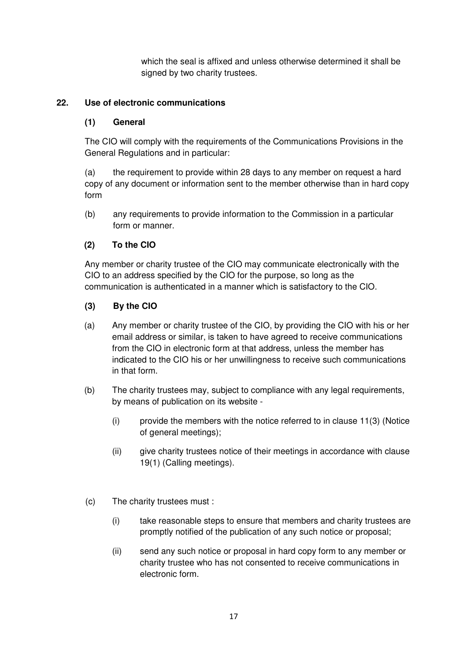which the seal is affixed and unless otherwise determined it shall be signed by two charity trustees.

# **22. Use of electronic communications**

## **(1) General**

The CIO will comply with the requirements of the Communications Provisions in the General Regulations and in particular:

(a) the requirement to provide within 28 days to any member on request a hard copy of any document or information sent to the member otherwise than in hard copy form

(b) any requirements to provide information to the Commission in a particular form or manner.

# **(2) To the CIO**

 Any member or charity trustee of the CIO may communicate electronically with the CIO to an address specified by the CIO for the purpose, so long as the communication is authenticated in a manner which is satisfactory to the CIO.

# **(3) By the CIO**

- (a) Any member or charity trustee of the CIO, by providing the CIO with his or her email address or similar, is taken to have agreed to receive communications from the CIO in electronic form at that address, unless the member has indicated to the CIO his or her unwillingness to receive such communications in that form.
- (b) The charity trustees may, subject to compliance with any legal requirements, by means of publication on its website -
	- (i) provide the members with the notice referred to in clause 11(3) (Notice of general meetings);
	- (ii) give charity trustees notice of their meetings in accordance with clause 19(1) (Calling meetings).
- (c) The charity trustees must :
	- (i) take reasonable steps to ensure that members and charity trustees are promptly notified of the publication of any such notice or proposal;
	- (ii) send any such notice or proposal in hard copy form to any member or charity trustee who has not consented to receive communications in electronic form.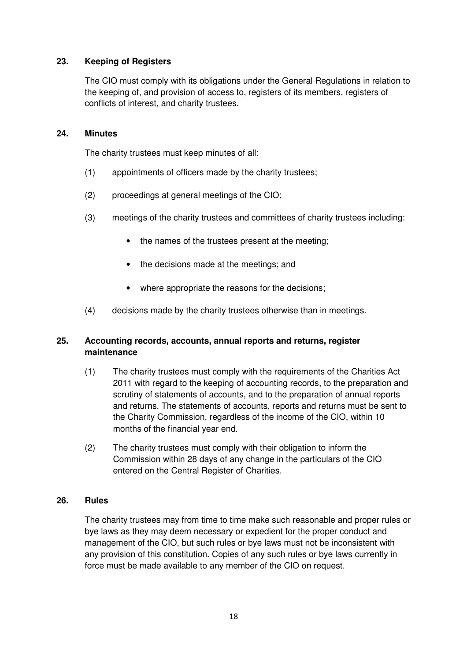## **23. Keeping of Registers**

The CIO must comply with its obligations under the General Regulations in relation to the keeping of, and provision of access to, registers of its members, registers of conflicts of interest, and charity trustees.

#### **24. Minutes**

The charity trustees must keep minutes of all:

- (1) appointments of officers made by the charity trustees;
- (2) proceedings at general meetings of the CIO;
- (3) meetings of the charity trustees and committees of charity trustees including:
	- the names of the trustees present at the meeting;
	- the decisions made at the meetings; and
	- where appropriate the reasons for the decisions;
- (4) decisions made by the charity trustees otherwise than in meetings.

### **25. Accounting records, accounts, annual reports and returns, register maintenance**

- (1) The charity trustees must comply with the requirements of the Charities Act 2011 with regard to the keeping of accounting records, to the preparation and scrutiny of statements of accounts, and to the preparation of annual reports and returns. The statements of accounts, reports and returns must be sent to the Charity Commission, regardless of the income of the CIO, within 10 months of the financial year end.
- (2) The charity trustees must comply with their obligation to inform the Commission within 28 days of any change in the particulars of the CIO entered on the Central Register of Charities.

#### **26. Rules**

The charity trustees may from time to time make such reasonable and proper rules or bye laws as they may deem necessary or expedient for the proper conduct and management of the CIO, but such rules or bye laws must not be inconsistent with any provision of this constitution. Copies of any such rules or bye laws currently in force must be made available to any member of the CIO on request.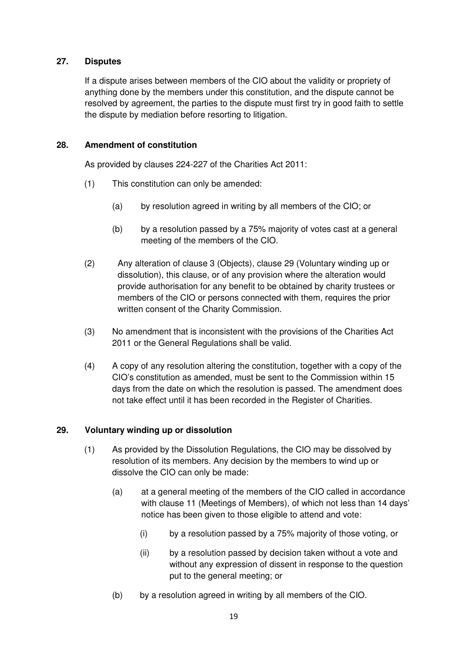## **27. Disputes**

If a dispute arises between members of the CIO about the validity or propriety of anything done by the members under this constitution, and the dispute cannot be resolved by agreement, the parties to the dispute must first try in good faith to settle the dispute by mediation before resorting to litigation.

### **28. Amendment of constitution**

As provided by clauses 224-227 of the Charities Act 2011:

- (1) This constitution can only be amended:
	- (a) by resolution agreed in writing by all members of the CIO; or
	- (b) by a resolution passed by a 75% majority of votes cast at a general meeting of the members of the CIO.
- (2) Any alteration of clause 3 (Objects), clause 29 (Voluntary winding up or dissolution), this clause, or of any provision where the alteration would provide authorisation for any benefit to be obtained by charity trustees or members of the CIO or persons connected with them, requires the prior written consent of the Charity Commission.
- (3) No amendment that is inconsistent with the provisions of the Charities Act 2011 or the General Regulations shall be valid.
- (4) A copy of any resolution altering the constitution, together with a copy of the CIO's constitution as amended, must be sent to the Commission within 15 days from the date on which the resolution is passed. The amendment does not take effect until it has been recorded in the Register of Charities.

#### **29. Voluntary winding up or dissolution**

- (1) As provided by the Dissolution Regulations, the CIO may be dissolved by resolution of its members. Any decision by the members to wind up or dissolve the CIO can only be made:
	- (a) at a general meeting of the members of the CIO called in accordance with clause 11 (Meetings of Members), of which not less than 14 days' notice has been given to those eligible to attend and vote:
		- (i) by a resolution passed by a 75% majority of those voting, or
		- (ii) by a resolution passed by decision taken without a vote and without any expression of dissent in response to the question put to the general meeting; or
	- (b) by a resolution agreed in writing by all members of the CIO.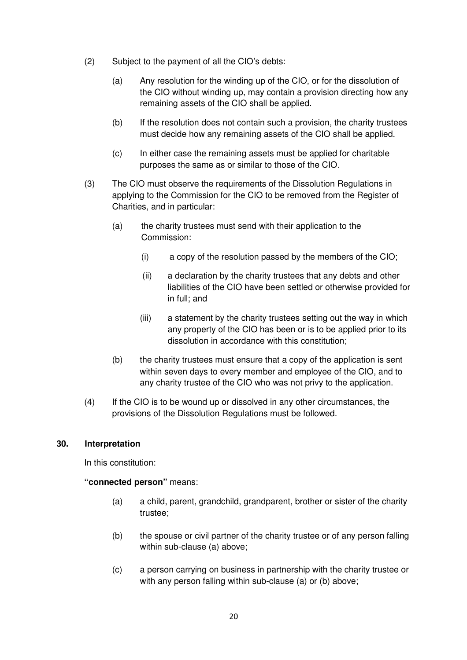- (2) Subject to the payment of all the CIO's debts:
	- (a) Any resolution for the winding up of the CIO, or for the dissolution of the CIO without winding up, may contain a provision directing how any remaining assets of the CIO shall be applied.
	- (b) If the resolution does not contain such a provision, the charity trustees must decide how any remaining assets of the CIO shall be applied.
	- (c) In either case the remaining assets must be applied for charitable purposes the same as or similar to those of the CIO.
- (3) The CIO must observe the requirements of the Dissolution Regulations in applying to the Commission for the CIO to be removed from the Register of Charities, and in particular:
	- (a) the charity trustees must send with their application to the Commission:
		- (i) a copy of the resolution passed by the members of the CIO;
		- (ii) a declaration by the charity trustees that any debts and other liabilities of the CIO have been settled or otherwise provided for in full; and
		- (iii) a statement by the charity trustees setting out the way in which any property of the CIO has been or is to be applied prior to its dissolution in accordance with this constitution;
	- (b) the charity trustees must ensure that a copy of the application is sent within seven days to every member and employee of the CIO, and to any charity trustee of the CIO who was not privy to the application.
- (4) If the CIO is to be wound up or dissolved in any other circumstances, the provisions of the Dissolution Regulations must be followed.

#### **30. Interpretation**

In this constitution:

**"connected person"** means:

- (a) a child, parent, grandchild, grandparent, brother or sister of the charity trustee;
- (b) the spouse or civil partner of the charity trustee or of any person falling within sub-clause (a) above;
- (c) a person carrying on business in partnership with the charity trustee or with any person falling within sub-clause (a) or (b) above;